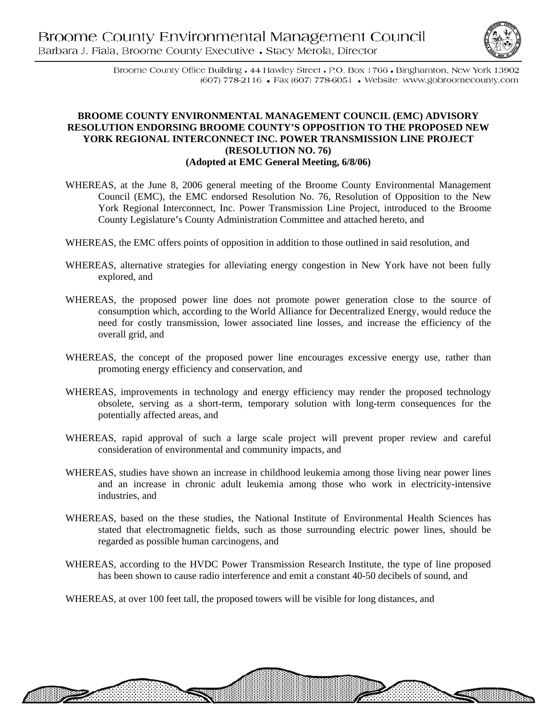

电磁带相联

Broome County Office Building . 44 Hawley Street . P.O. Box 1766 . Binghamton, New York 13902 (607) 778-2116 • Fax (607) 778-6051 • Website: www.gobroomecounty.com

## **BROOME COUNTY ENVIRONMENTAL MANAGEMENT COUNCIL (EMC) ADVISORY RESOLUTION ENDORSING BROOME COUNTY'S OPPOSITION TO THE PROPOSED NEW YORK REGIONAL INTERCONNECT INC. POWER TRANSMISSION LINE PROJECT (RESOLUTION NO. 76) (Adopted at EMC General Meeting, 6/8/06)**

- WHEREAS, at the June 8, 2006 general meeting of the Broome County Environmental Management Council (EMC), the EMC endorsed Resolution No. 76, Resolution of Opposition to the New York Regional Interconnect, Inc. Power Transmission Line Project, introduced to the Broome County Legislature's County Administration Committee and attached hereto, and
- WHEREAS, the EMC offers points of opposition in addition to those outlined in said resolution, and
- WHEREAS, alternative strategies for alleviating energy congestion in New York have not been fully explored, and
- WHEREAS, the proposed power line does not promote power generation close to the source of consumption which, according to the World Alliance for Decentralized Energy, would reduce the need for costly transmission, lower associated line losses, and increase the efficiency of the overall grid, and
- WHEREAS, the concept of the proposed power line encourages excessive energy use, rather than promoting energy efficiency and conservation, and
- WHEREAS, improvements in technology and energy efficiency may render the proposed technology obsolete, serving as a short-term, temporary solution with long-term consequences for the potentially affected areas, and
- WHEREAS, rapid approval of such a large scale project will prevent proper review and careful consideration of environmental and community impacts, and
- WHEREAS, studies have shown an increase in childhood leukemia among those living near power lines and an increase in chronic adult leukemia among those who work in electricity-intensive industries, and
- WHEREAS, based on the these studies, the National Institute of Environmental Health Sciences has stated that electromagnetic fields, such as those surrounding electric power lines, should be regarded as possible human carcinogens, and
- WHEREAS, according to the HVDC Power Transmission Research Institute, the type of line proposed has been shown to cause radio interference and emit a constant 40-50 decibels of sound, and

WHEREAS, at over 100 feet tall, the proposed towers will be visible for long distances, and

▓▓▓▓▓▓